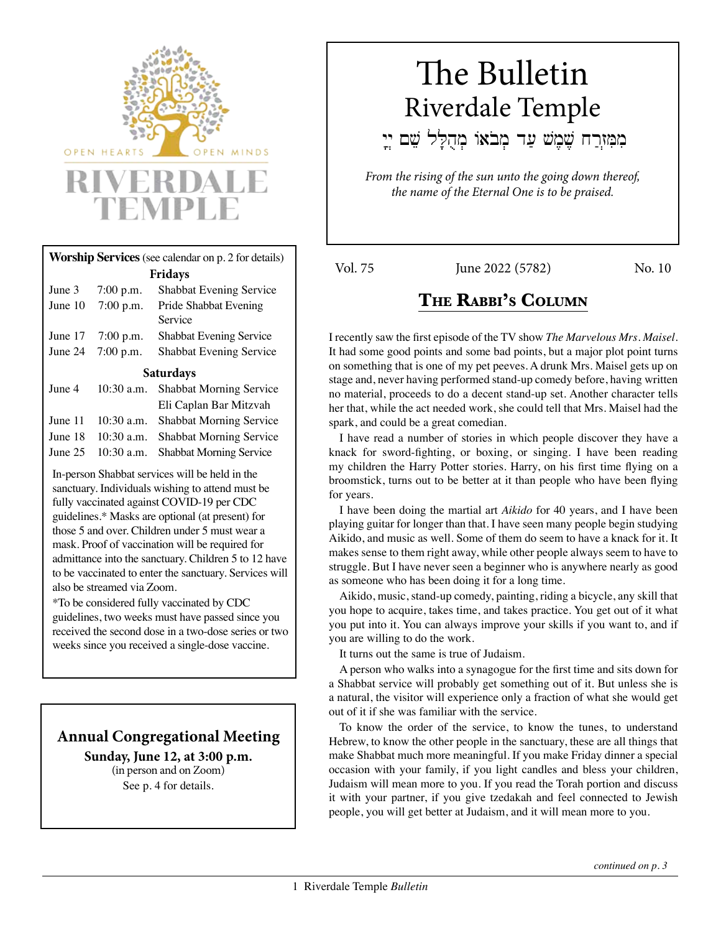

# **Worship Services** (see calendar on p. 2 for details) <br> **Vol. 75** June 2022 (5782) Mo. 10 **Fridays**

|                                   | June 3 7:00 p.m. Shabbat Evening Service |
|-----------------------------------|------------------------------------------|
| June $10 \quad 7:00 \text{ p.m.}$ | Pride Shabbat Evening                    |
|                                   | Service                                  |
| June $17$ 7:00 p.m.               | <b>Shabbat Evening Service</b>           |
| June 24 $7:00$ p.m.               | <b>Shabbat Evening Service</b>           |

#### **Saturdays**

| 10:30 a.m. Shabbat Morning Service         |
|--------------------------------------------|
| Eli Caplan Bar Mitzvah                     |
| June 11 10:30 a.m. Shabbat Morning Service |
| June 18 10:30 a.m. Shabbat Morning Service |
| June 25 10:30 a.m. Shabbat Morning Service |
|                                            |

In-person Shabbat services will be held in the sanctuary. Individuals wishing to attend must be fully vaccinated against COVID-19 per CDC guidelines.\* Masks are optional (at present) for those 5 and over. Children under 5 must wear a mask. Proof of vaccination will be required for admittance into the sanctuary. Children 5 to 12 have to be vaccinated to enter the sanctuary. Services will also be streamed via Zoom.

\*To be considered fully vaccinated by CDC guidelines, two weeks must have passed since you received the second dose in a two-dose series or two weeks since you received a single-dose vaccine.

# **Annual Congregational Meeting**

**Sunday, June 12, at 3:00 p.m.**  (in person and on Zoom) See p. 4 for details.

# The Bulletin Riverdale Temple

מִמְּזְרַח שֶׁמֶשׁ עַד מְבֹאוֹ מְהֻלָּל שֵׁם יְיָ

*From the rising of the sun unto the going down thereof, the name of the Eternal One is to be praised.*

# **The Rabbi's Column**

I recently saw the first episode of the TV show *The Marvelous Mrs. Maisel.*  It had some good points and some bad points, but a major plot point turns on something that is one of my pet peeves. A drunk Mrs. Maisel gets up on stage and, never having performed stand-up comedy before, having written no material, proceeds to do a decent stand-up set. Another character tells her that, while the act needed work, she could tell that Mrs. Maisel had the spark, and could be a great comedian.

I have read a number of stories in which people discover they have a knack for sword-fighting, or boxing, or singing. I have been reading my children the Harry Potter stories. Harry, on his first time flying on a broomstick, turns out to be better at it than people who have been flying for years.

I have been doing the martial art *Aikido* for 40 years, and I have been playing guitar for longer than that. I have seen many people begin studying Aikido, and music as well. Some of them do seem to have a knack for it. It makes sense to them right away, while other people always seem to have to struggle. But I have never seen a beginner who is anywhere nearly as good as someone who has been doing it for a long time.

Aikido, music, stand-up comedy, painting, riding a bicycle, any skill that you hope to acquire, takes time, and takes practice. You get out of it what you put into it. You can always improve your skills if you want to, and if you are willing to do the work.

It turns out the same is true of Judaism.

A person who walks into a synagogue for the first time and sits down for a Shabbat service will probably get something out of it. But unless she is a natural, the visitor will experience only a fraction of what she would get out of it if she was familiar with the service.

To know the order of the service, to know the tunes, to understand Hebrew, to know the other people in the sanctuary, these are all things that make Shabbat much more meaningful. If you make Friday dinner a special occasion with your family, if you light candles and bless your children, Judaism will mean more to you. If you read the Torah portion and discuss it with your partner, if you give tzedakah and feel connected to Jewish people, you will get better at Judaism, and it will mean more to you.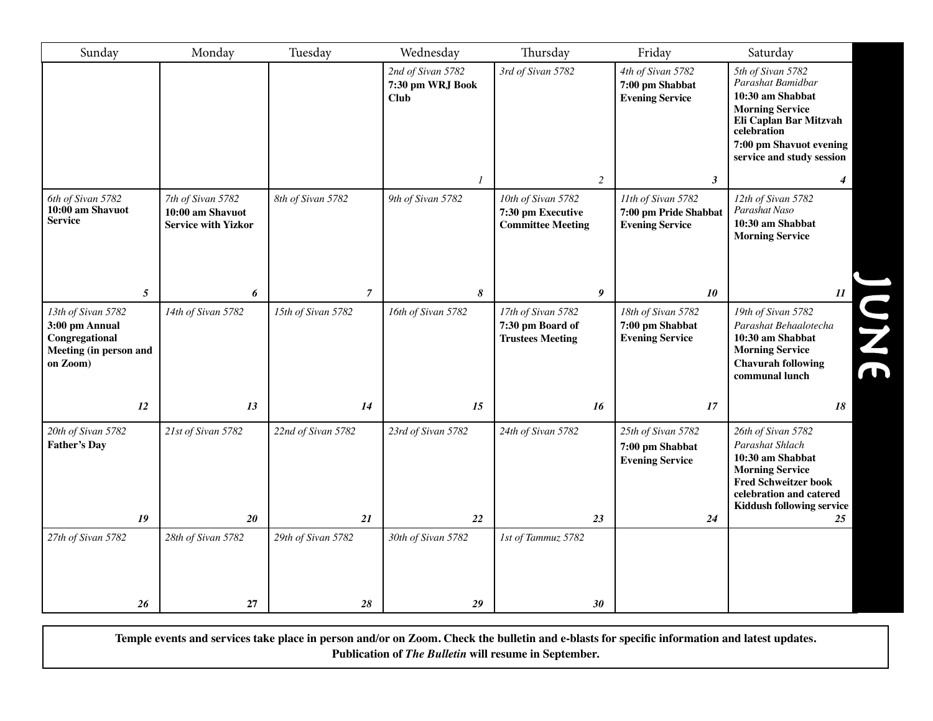| Sunday                                                                                       | Monday                                         | Tuesday                  | Wednesday                                            | Thursday                                                          | Friday                                                          | Saturday                                                                                                                                                                              |
|----------------------------------------------------------------------------------------------|------------------------------------------------|--------------------------|------------------------------------------------------|-------------------------------------------------------------------|-----------------------------------------------------------------|---------------------------------------------------------------------------------------------------------------------------------------------------------------------------------------|
|                                                                                              |                                                |                          | 2nd of Sivan 5782<br>7:30 pm WRJ Book<br><b>Club</b> | 3rd of Sivan 5782                                                 | 4th of Sivan 5782<br>7:00 pm Shabbat<br><b>Evening Service</b>  | 5th of Sivan 5782<br>Parashat Bamidbar<br>10:30 am Shabbat<br><b>Morning Service</b><br>Eli Caplan Bar Mitzvah<br>celebration<br>7:00 pm Shavuot evening<br>service and study session |
| 6th of Sivan 5782                                                                            | 7th of Sivan 5782                              | 8th of Sivan 5782        | 1<br>9th of Sivan 5782                               | $\sqrt{2}$<br>10th of Sivan 5782                                  | $\boldsymbol{\beta}$<br>11th of Sivan 5782                      | 4<br>12th of Sivan 5782                                                                                                                                                               |
| 10:00 am Shavuot<br><b>Service</b>                                                           | 10:00 am Shavuot<br><b>Service with Yizkor</b> |                          |                                                      | 7:30 pm Executive<br><b>Committee Meeting</b>                     | 7:00 pm Pride Shabbat<br><b>Evening Service</b>                 | Parashat Naso<br>10:30 am Shabbat<br><b>Morning Service</b>                                                                                                                           |
| $\mathfrak{s}$                                                                               | 6                                              | $\overline{7}$           | 8                                                    | 9                                                                 | 10                                                              | $\boldsymbol{\mathit{11}}$                                                                                                                                                            |
| 13th of Sivan 5782<br>3:00 pm Annual<br>Congregational<br>Meeting (in person and<br>on Zoom) | 14th of Sivan 5782                             | 15th of Sivan 5782       | 16th of Sivan 5782                                   | 17th of Sivan 5782<br>7:30 pm Board of<br><b>Trustees Meeting</b> | 18th of Sivan 5782<br>7:00 pm Shabbat<br><b>Evening Service</b> | 19th of Sivan 5782<br>JNE<br>Parashat Behaalotecha<br>10:30 am Shabbat<br><b>Morning Service</b><br><b>Chavurah following</b><br>communal lunch                                       |
| 12                                                                                           | 13                                             | 14                       | 15                                                   | 16                                                                | 17                                                              | 18                                                                                                                                                                                    |
| 20th of Sivan 5782<br><b>Father's Day</b>                                                    | 21st of Sivan 5782                             | 22nd of Sivan 5782       | 23rd of Sivan 5782                                   | 24th of Sivan 5782                                                | 25th of Sivan 5782<br>7:00 pm Shabbat<br><b>Evening Service</b> | 26th of Sivan 5782<br>Parashat Shlach<br>10:30 am Shabbat<br><b>Morning Service</b><br><b>Fred Schweitzer book</b><br>celebration and catered<br>Kiddush following service            |
| 19                                                                                           | 20                                             | 21                       | 22                                                   | 23                                                                | 24                                                              | 25                                                                                                                                                                                    |
| 27th of Sivan 5782<br>26                                                                     | 28th of Sivan 5782<br>27                       | 29th of Sivan 5782<br>28 | 30th of Sivan 5782<br>29                             | 1st of Tammuz 5782<br>30                                          |                                                                 |                                                                                                                                                                                       |

**Temple events and services take place in person and/or on Zoom. Check the bulletin and e-blasts for specific information and latest updates. Publication of** *The Bulletin* **will resume in September.**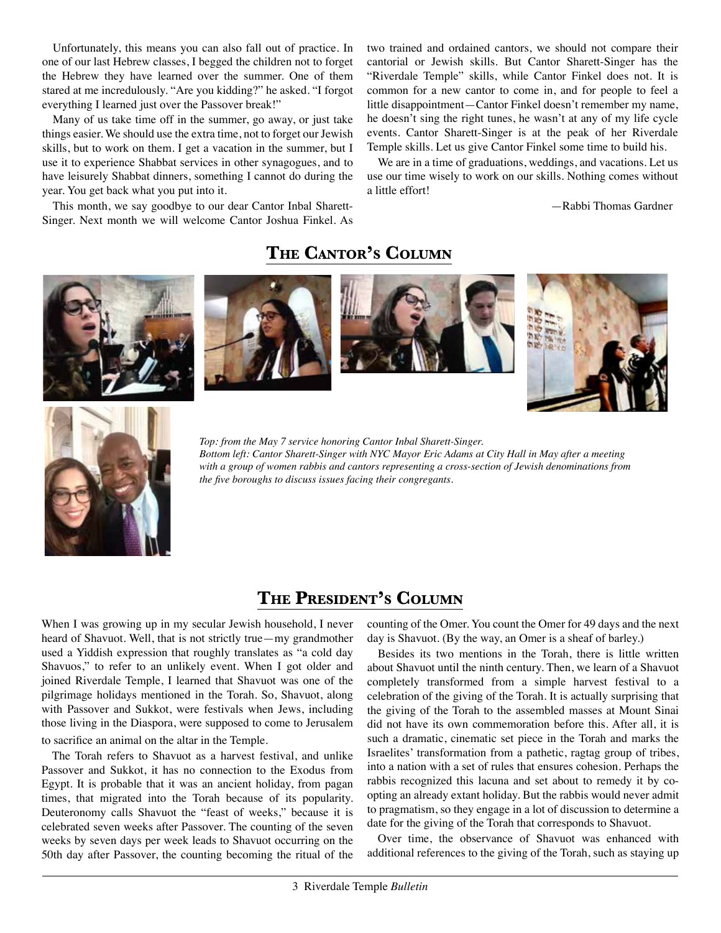Unfortunately, this means you can also fall out of practice. In one of our last Hebrew classes, I begged the children not to forget the Hebrew they have learned over the summer. One of them stared at me incredulously. "Are you kidding?" he asked. "I forgot everything I learned just over the Passover break!"

Many of us take time off in the summer, go away, or just take things easier. We should use the extra time, not to forget our Jewish skills, but to work on them. I get a vacation in the summer, but I use it to experience Shabbat services in other synagogues, and to have leisurely Shabbat dinners, something I cannot do during the year. You get back what you put into it.

This month, we say goodbye to our dear Cantor Inbal Sharett-Singer. Next month we will welcome Cantor Joshua Finkel. As two trained and ordained cantors, we should not compare their cantorial or Jewish skills. But Cantor Sharett-Singer has the "Riverdale Temple" skills, while Cantor Finkel does not. It is common for a new cantor to come in, and for people to feel a little disappointment—Cantor Finkel doesn't remember my name, he doesn't sing the right tunes, he wasn't at any of my life cycle events. Cantor Sharett-Singer is at the peak of her Riverdale Temple skills. Let us give Cantor Finkel some time to build his.

We are in a time of graduations, weddings, and vacations. Let us use our time wisely to work on our skills. Nothing comes without a little effort!

—Rabbi Thomas Gardner











*Top: from the May 7 service honoring Cantor Inbal Sharett-Singer. Bottom left: Cantor Sharett-Singer with NYC Mayor Eric Adams at City Hall in May after a meeting with a group of women rabbis and cantors representing a cross-section of Jewish denominations from the five boroughs to discuss issues facing their congregants.*

# **The President's Column**

When I was growing up in my secular Jewish household, I never heard of Shavuot. Well, that is not strictly true—my grandmother used a Yiddish expression that roughly translates as "a cold day Shavuos," to refer to an unlikely event. When I got older and joined Riverdale Temple, I learned that Shavuot was one of the pilgrimage holidays mentioned in the Torah. So, Shavuot, along with Passover and Sukkot, were festivals when Jews, including those living in the Diaspora, were supposed to come to Jerusalem to sacrifice an animal on the altar in the Temple.

The Torah refers to Shavuot as a harvest festival, and unlike Passover and Sukkot, it has no connection to the Exodus from Egypt. It is probable that it was an ancient holiday, from pagan times, that migrated into the Torah because of its popularity. Deuteronomy calls Shavuot the "feast of weeks," because it is celebrated seven weeks after Passover. The counting of the seven weeks by seven days per week leads to Shavuot occurring on the 50th day after Passover, the counting becoming the ritual of the

counting of the Omer. You count the Omer for 49 days and the next day is Shavuot. (By the way, an Omer is a sheaf of barley.)

Besides its two mentions in the Torah, there is little written about Shavuot until the ninth century. Then, we learn of a Shavuot completely transformed from a simple harvest festival to a celebration of the giving of the Torah. It is actually surprising that the giving of the Torah to the assembled masses at Mount Sinai did not have its own commemoration before this. After all, it is such a dramatic, cinematic set piece in the Torah and marks the Israelites' transformation from a pathetic, ragtag group of tribes, into a nation with a set of rules that ensures cohesion. Perhaps the rabbis recognized this lacuna and set about to remedy it by coopting an already extant holiday. But the rabbis would never admit to pragmatism, so they engage in a lot of discussion to determine a date for the giving of the Torah that corresponds to Shavuot.

Over time, the observance of Shavuot was enhanced with additional references to the giving of the Torah, such as staying up

**The Cantor's Column**

#### 3 Riverdale Temple *Bulletin*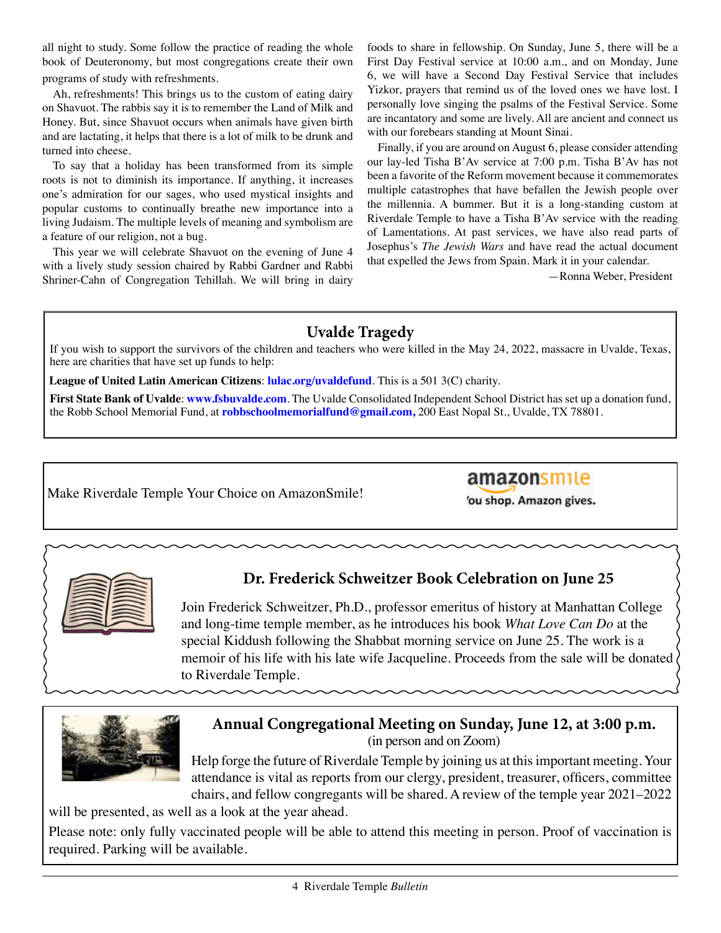all night to study. Some follow the practice of reading the whole book of Deuteronomy, but most congregations create their own programs of study with refreshments.

Ah, refreshments! This brings us to the custom of eating dairy on Shavuot. The rabbis say it is to remember the Land of Milk and Honey. But, since Shavuot occurs when animals have given birth and are lactating, it helps that there is a lot of milk to be drunk and turned into cheese.

To say that a holiday has been transformed from its simple roots is not to diminish its importance. If anything, it increases one's admiration for our sages, who used mystical insights and popular customs to continually breathe new importance into a living Judaism. The multiple levels of meaning and symbolism are a feature of our religion, not a bug.

This year we will celebrate Shavuot on the evening of June 4 with a lively study session chaired by Rabbi Gardner and Rabbi Shriner-Cahn of Congregation Tehillah. We will bring in dairy foods to share in fellowship. On Sunday, June 5, there will be a First Day Festival service at 10:00 a.m., and on Monday, June 6, we will have a Second Day Festival Service that includes Yizkor, prayers that remind us of the loved ones we have lost. I personally love singing the psalms of the Festival Service. Some are incantatory and some are lively. All are ancient and connect us with our forebears standing at Mount Sinai.

Finally, if you are around on August 6, please consider attending our lay-led Tisha B'Av service at 7:00 p.m. Tisha B'Av has not been a favorite of the Reform movement because it commemorates multiple catastrophes that have befallen the Jewish people over the millennia. A bummer. But it is a long-standing custom at Riverdale Temple to have a Tisha B'Av service with the reading of Lamentations. At past services, we have also read parts of Josephus's *The Jewish Wars* and have read the actual document that expelled the Jews from Spain. Mark it in your calendar.

—Ronna Weber, President

# **Uvalde Tragedy**

If you wish to support the survivors of the children and teachers who were killed in the May 24, 2022, massacre in Uvalde, Texas, here are charities that have set up funds to help:

**League of United Latin American Citizens**: **lulac.org/uvaldefund**. This is a 501 3(C) charity.

**First State Bank of Uvalde**: **www.fsbuvalde.com**. The Uvalde Consolidated Independent School District has set up a donation fund, the Robb School Memorial Fund, at **robbschoolmemorialfund@gmail.com,** 200 East Nopal St., Uvalde, TX 78801.

Make Riverdale Temple Your Choice on AmazonSmile!

# amazonsmile

'ou shop. Amazon gives.



# **Dr. Frederick Schweitzer Book Celebration on June 25**

Join Frederick Schweitzer, Ph.D., professor emeritus of history at Manhattan College and long-time temple member, as he introduces his book *What Love Can Do* at the special Kiddush following the Shabbat morning service on June 25. The work is a memoir of his life with his late wife Jacqueline. Proceeds from the sale will be donated to Riverdale Temple.



# **Annual Congregational Meeting on Sunday, June 12, at 3:00 p.m.**

(in person and on Zoom)

Help forge the future of Riverdale Temple by joining us at this important meeting. Your attendance is vital as reports from our clergy, president, treasurer, officers, committee chairs, and fellow congregants will be shared. A review of the temple year 2021–2022

will be presented, as well as a look at the year ahead.

Please note: only fully vaccinated people will be able to attend this meeting in person. Proof of vaccination is required. Parking will be available.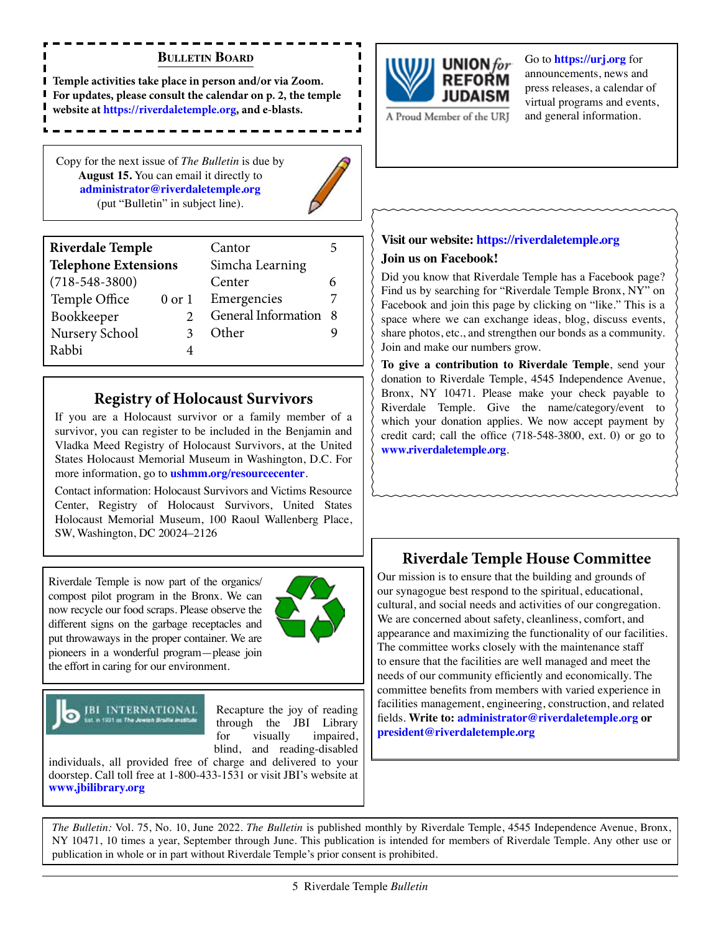#### **Bulletin Board**

**Temple activities take place in person and/or via Zoom. For updates, please consult the calendar on p. 2, the temple website at https://riverdaletemple.org, and e-blasts.** 

Copy for the next issue of *The Bulletin* is due by **August 15.** You can email it directly to **administrator@riverdaletemple.org** (put "Bulletin" in subject line).



| <b>Riverdale Temple</b>     |  | Cantor              |     |  |  |  |
|-----------------------------|--|---------------------|-----|--|--|--|
| <b>Telephone Extensions</b> |  | Simcha Learning     |     |  |  |  |
| $(718 - 548 - 3800)$        |  | Center              | 6   |  |  |  |
| Temple Office<br>$0$ or $1$ |  | Emergencies         |     |  |  |  |
| Bookkeeper                  |  | General Information | - 8 |  |  |  |
| Nursery School              |  | Other               |     |  |  |  |
| Rabbi                       |  |                     |     |  |  |  |

#### **Registry of Holocaust Survivors**

If you are a Holocaust survivor or a family member of a survivor, you can register to be included in the Benjamin and Vladka Meed Registry of Holocaust Survivors, at the United States Holocaust Memorial Museum in Washington, D.C. For more information, go to **ushmm.org/resourcecenter**.

Contact information: Holocaust Survivors and Victims Resource Center, Registry of Holocaust Survivors, United States Holocaust Memorial Museum, 100 Raoul Wallenberg Place, SW, Washington, DC 20024–2126

Riverdale Temple is now part of the organics/ compost pilot program in the Bronx. We can now recycle our food scraps. Please observe the different signs on the garbage receptacles and put throwaways in the proper container. We are pioneers in a wonderful program—please join the effort in caring for our environment.



JBI INTERNATIONAL

Recapture the joy of reading through the JBI Library for visually impaired, blind, and reading-disabled

individuals, all provided free of charge and delivered to your doorstep. Call toll free at 1-800-433-1531 or visit JBI's website at **www.jbilibrary.org**



#### Go to **https://urj.org** for announcements, news and press releases, a calendar of virtual programs and events, and general information.

A Proud Member of the URJ

#### **Visit our website: https://riverdaletemple.org**

#### **Join us on Facebook!**

Did you know that Riverdale Temple has a Facebook page? Find us by searching for "Riverdale Temple Bronx, NY" on Facebook and join this page by clicking on "like." This is a space where we can exchange ideas, blog, discuss events, share photos, etc., and strengthen our bonds as a community. Join and make our numbers grow.

**To give a contribution to Riverdale Temple**, send your donation to Riverdale Temple, 4545 Independence Avenue, Bronx, NY 10471. Please make your check payable to Riverdale Temple. Give the name/category/event to which your donation applies. We now accept payment by credit card; call the office (718-548-3800, ext. 0) or go to **www.riverdaletemple.org**.

# **Riverdale Temple House Committee**

Our mission is to ensure that the building and grounds of our synagogue best respond to the spiritual, educational, cultural, and social needs and activities of our congregation. We are concerned about safety, cleanliness, comfort, and appearance and maximizing the functionality of our facilities. The committee works closely with the maintenance staff to ensure that the facilities are well managed and meet the needs of our community efficiently and economically. The committee benefits from members with varied experience in facilities management, engineering, construction, and related fields. **Write to: administrator@riverdaletemple.org or president@riverdaletemple.org**

*The Bulletin:* Vol. 75, No. 10, June 2022. *The Bulletin* is published monthly by Riverdale Temple, 4545 Independence Avenue, Bronx, NY 10471, 10 times a year, September through June. This publication is intended for members of Riverdale Temple. Any other use or publication in whole or in part without Riverdale Temple's prior consent is prohibited.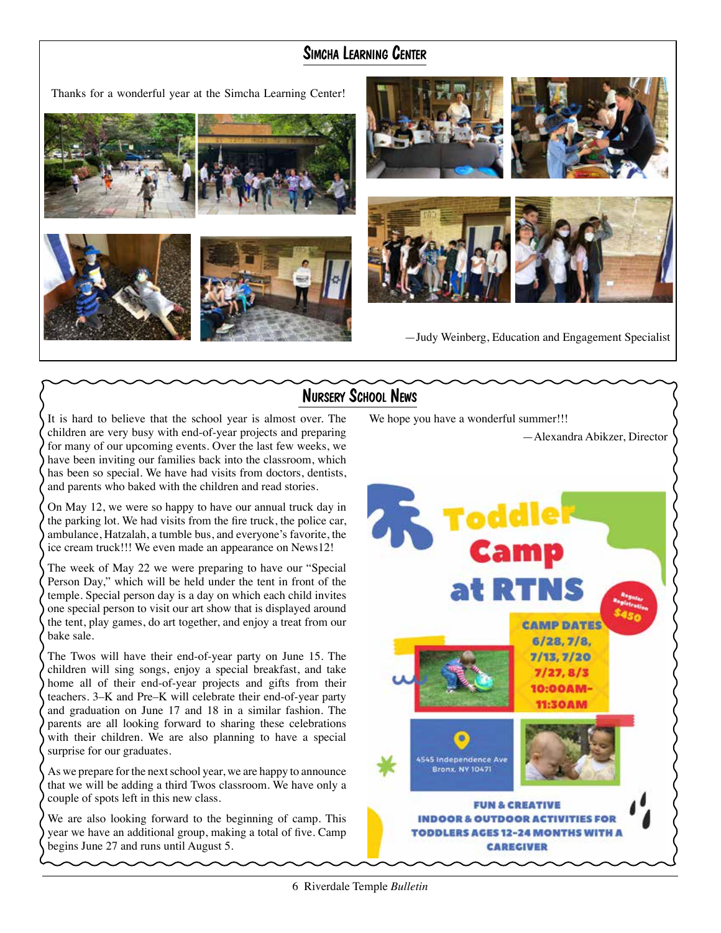# Simcha Learning Center



# Nursery School News

It is hard to believe that the school year is almost over. The children are very busy with end-of-year projects and preparing for many of our upcoming events. Over the last few weeks, we have been inviting our families back into the classroom, which has been so special. We have had visits from doctors, dentists, and parents who baked with the children and read stories.

On May 12, we were so happy to have our annual truck day in the parking lot. We had visits from the fire truck, the police car, ambulance, Hatzalah, a tumble bus, and everyone's favorite, the ice cream truck!!! We even made an appearance on News12!

The week of May 22 we were preparing to have our "Special Person Day," which will be held under the tent in front of the temple. Special person day is a day on which each child invites one special person to visit our art show that is displayed around the tent, play games, do art together, and enjoy a treat from our bake sale.

The Twos will have their end-of-year party on June 15. The children will sing songs, enjoy a special breakfast, and take home all of their end-of-year projects and gifts from their teachers. 3–K and Pre–K will celebrate their end-of-year party and graduation on June 17 and 18 in a similar fashion. The parents are all looking forward to sharing these celebrations with their children. We are also planning to have a special surprise for our graduates.

As we prepare for the next school year, we are happy to announce that we will be adding a third Twos classroom. We have only a couple of spots left in this new class.

We are also looking forward to the beginning of camp. This year we have an additional group, making a total of five. Camp begins June 27 and runs until August 5.

We hope you have a wonderful summer!!!

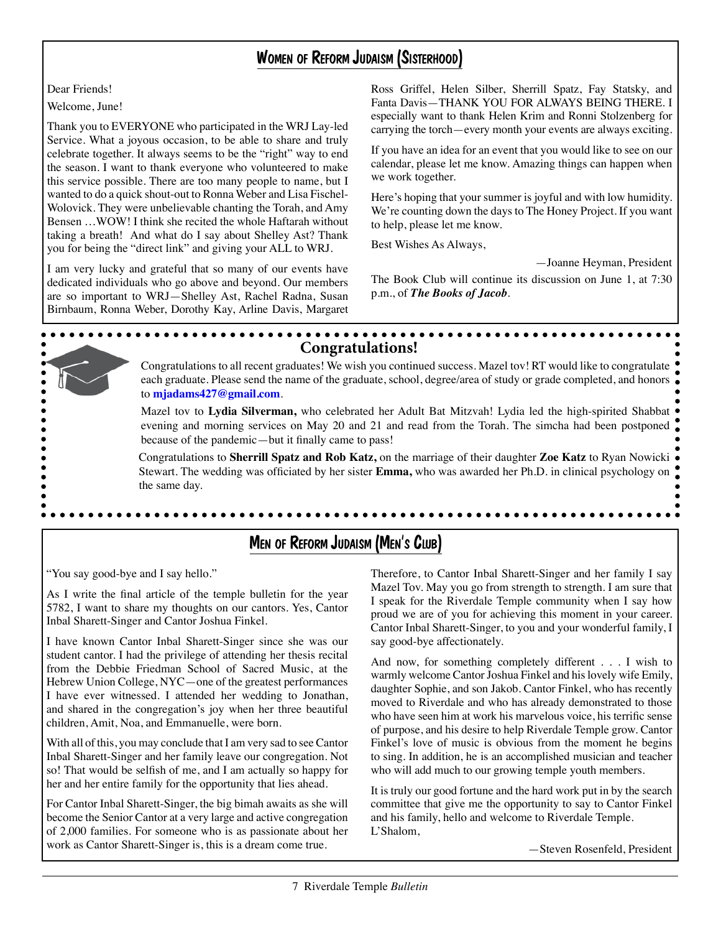# Women of Reform Judaism (Sisterhood)

Dear Friends!

Welcome, June!

Thank you to EVERYONE who participated in the WRJ Lay-led Service. What a joyous occasion, to be able to share and truly celebrate together. It always seems to be the "right" way to end the season. I want to thank everyone who volunteered to make this service possible. There are too many people to name, but I wanted to do a quick shout-out to Ronna Weber and Lisa Fischel-Wolovick. They were unbelievable chanting the Torah, and Amy Bensen …WOW! I think she recited the whole Haftarah without taking a breath! And what do I say about Shelley Ast? Thank you for being the "direct link" and giving your ALL to WRJ.

I am very lucky and grateful that so many of our events have dedicated individuals who go above and beyond. Our members are so important to WRJ—Shelley Ast, Rachel Radna, Susan Birnbaum, Ronna Weber, Dorothy Kay, Arline Davis, Margaret Ross Griffel, Helen Silber, Sherrill Spatz, Fay Statsky, and Fanta Davis—THANK YOU FOR ALWAYS BEING THERE. I especially want to thank Helen Krim and Ronni Stolzenberg for carrying the torch—every month your events are always exciting.

If you have an idea for an event that you would like to see on our calendar, please let me know. Amazing things can happen when we work together.

Here's hoping that your summer is joyful and with low humidity. We're counting down the days to The Honey Project. If you want to help, please let me know.

Best Wishes As Always,

—Joanne Heyman, President

The Book Club will continue its discussion on June 1, at 7:30 p.m., of *The Books of Jacob*.



Inbal Sharett-Singer and Cantor Joshua Finkel.

I have known Cantor Inbal Sharett-Singer since she was our student cantor. I had the privilege of attending her thesis recital from the Debbie Friedman School of Sacred Music, at the Hebrew Union College, NYC—one of the greatest performances I have ever witnessed. I attended her wedding to Jonathan, and shared in the congregation's joy when her three beautiful children, Amit, Noa, and Emmanuelle, were born.

With all of this, you may conclude that I am very sad to see Cantor Inbal Sharett-Singer and her family leave our congregation. Not so! That would be selfish of me, and I am actually so happy for her and her entire family for the opportunity that lies ahead.

For Cantor Inbal Sharett-Singer, the big bimah awaits as she will become the Senior Cantor at a very large and active congregation of 2,000 families. For someone who is as passionate about her work as Cantor Sharett-Singer is, this is a dream come true.

proud we are of you for achieving this moment in your career. Cantor Inbal Sharett-Singer, to you and your wonderful family, I say good-bye affectionately.

And now, for something completely different . . . I wish to warmly welcome Cantor Joshua Finkel and his lovely wife Emily, daughter Sophie, and son Jakob. Cantor Finkel, who has recently moved to Riverdale and who has already demonstrated to those who have seen him at work his marvelous voice, his terrific sense of purpose, and his desire to help Riverdale Temple grow. Cantor Finkel's love of music is obvious from the moment he begins to sing. In addition, he is an accomplished musician and teacher who will add much to our growing temple youth members.

It is truly our good fortune and the hard work put in by the search committee that give me the opportunity to say to Cantor Finkel and his family, hello and welcome to Riverdale Temple. L'Shalom,

—Steven Rosenfeld, President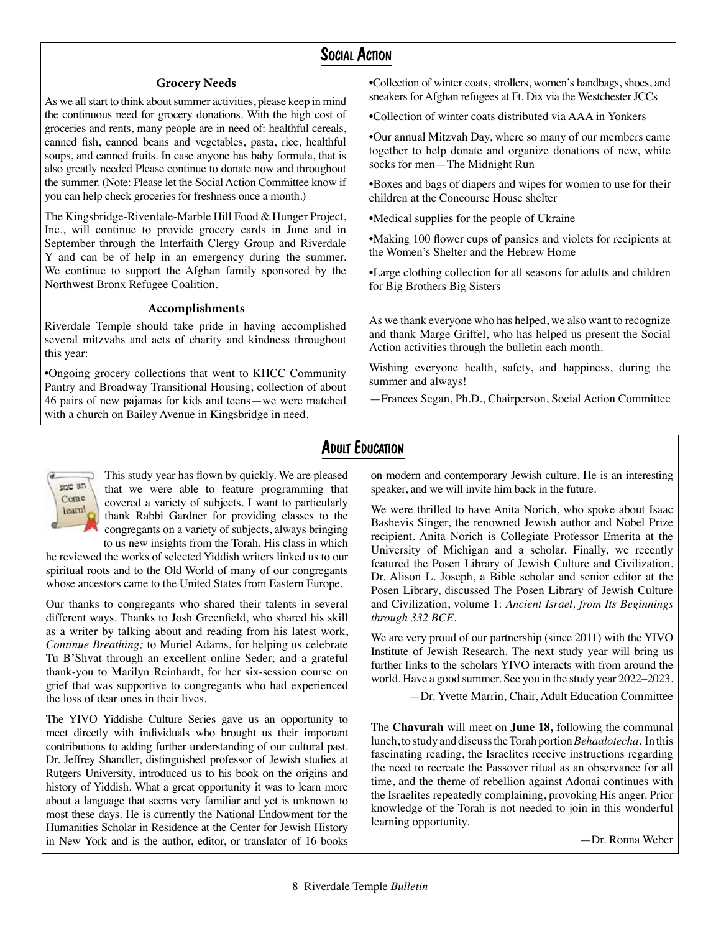#### Social Action

#### **Grocery Needs**

As we all start to think about summer activities, please keep in mind the continuous need for grocery donations. With the high cost of groceries and rents, many people are in need of: healthful cereals, canned fish, canned beans and vegetables, pasta, rice, healthful soups, and canned fruits. In case anyone has baby formula, that is also greatly needed Please continue to donate now and throughout the summer. (Note: Please let the Social Action Committee know if you can help check groceries for freshness once a month.)

The Kingsbridge-Riverdale-Marble Hill Food & Hunger Project, Inc., will continue to provide grocery cards in June and in September through the Interfaith Clergy Group and Riverdale Y and can be of help in an emergency during the summer. We continue to support the Afghan family sponsored by the Northwest Bronx Refugee Coalition.

#### **Accomplishments**

Riverdale Temple should take pride in having accomplished several mitzvahs and acts of charity and kindness throughout this year:

•Ongoing grocery collections that went to KHCC Community Pantry and Broadway Transitional Housing; collection of about 46 pairs of new pajamas for kids and teens—we were matched with a church on Bailey Avenue in Kingsbridge in need.

•Collection of winter coats, strollers, women's handbags, shoes, and sneakers for Afghan refugees at Ft. Dix via the Westchester JCCs

•Collection of winter coats distributed via AAA in Yonkers

•Our annual Mitzvah Day, where so many of our members came together to help donate and organize donations of new, white socks for men—The Midnight Run

•Boxes and bags of diapers and wipes for women to use for their children at the Concourse House shelter

•Medical supplies for the people of Ukraine

•Making 100 flower cups of pansies and violets for recipients at the Women's Shelter and the Hebrew Home

•Large clothing collection for all seasons for adults and children for Big Brothers Big Sisters

As we thank everyone who has helped, we also want to recognize and thank Marge Griffel, who has helped us present the Social Action activities through the bulletin each month.

Wishing everyone health, safety, and happiness, during the summer and always!

—Frances Segan, Ph.D., Chairperson, Social Action Committee

#### **ADULT EDUCATION**

ppp an Come learn!

This study year has flown by quickly. We are pleased that we were able to feature programming that covered a variety of subjects. I want to particularly thank Rabbi Gardner for providing classes to the congregants on a variety of subjects, always bringing to us new insights from the Torah. His class in which

he reviewed the works of selected Yiddish writers linked us to our spiritual roots and to the Old World of many of our congregants whose ancestors came to the United States from Eastern Europe.

Our thanks to congregants who shared their talents in several different ways. Thanks to Josh Greenfield, who shared his skill as a writer by talking about and reading from his latest work, *Continue Breathing;* to Muriel Adams, for helping us celebrate Tu B'Shvat through an excellent online Seder; and a grateful thank-you to Marilyn Reinhardt, for her six-session course on grief that was supportive to congregants who had experienced the loss of dear ones in their lives.

The YIVO Yiddishe Culture Series gave us an opportunity to meet directly with individuals who brought us their important contributions to adding further understanding of our cultural past. Dr. Jeffrey Shandler, distinguished professor of Jewish studies at Rutgers University, introduced us to his book on the origins and history of Yiddish. What a great opportunity it was to learn more about a language that seems very familiar and yet is unknown to most these days. He is currently the National Endowment for the Humanities Scholar in Residence at the Center for Jewish History in New York and is the author, editor, or translator of 16 books on modern and contemporary Jewish culture. He is an interesting speaker, and we will invite him back in the future.

We were thrilled to have Anita Norich, who spoke about Isaac Bashevis Singer, the renowned Jewish author and Nobel Prize recipient. Anita Norich is Collegiate Professor Emerita at the University of Michigan and a scholar. Finally, we recently featured the Posen Library of Jewish Culture and Civilization. Dr. Alison L. Joseph, a Bible scholar and senior editor at the Posen Library, discussed The Posen Library of Jewish Culture and Civilization, volume 1: *Ancient Israel, from Its Beginnings through 332 BCE*.

We are very proud of our partnership (since 2011) with the YIVO Institute of Jewish Research. The next study year will bring us further links to the scholars YIVO interacts with from around the world. Have a good summer. See you in the study year 2022–2023.

—Dr. Yvette Marrin, Chair, Adult Education Committee

The **Chavurah** will meet on **June 18,** following the communal lunch, to study and discuss the Torah portion *Behaalotecha.* In this fascinating reading, the Israelites receive instructions regarding the need to recreate the Passover ritual as an observance for all time, and the theme of rebellion against Adonai continues with the Israelites repeatedly complaining, provoking His anger. Prior knowledge of the Torah is not needed to join in this wonderful learning opportunity.

—Dr. Ronna Weber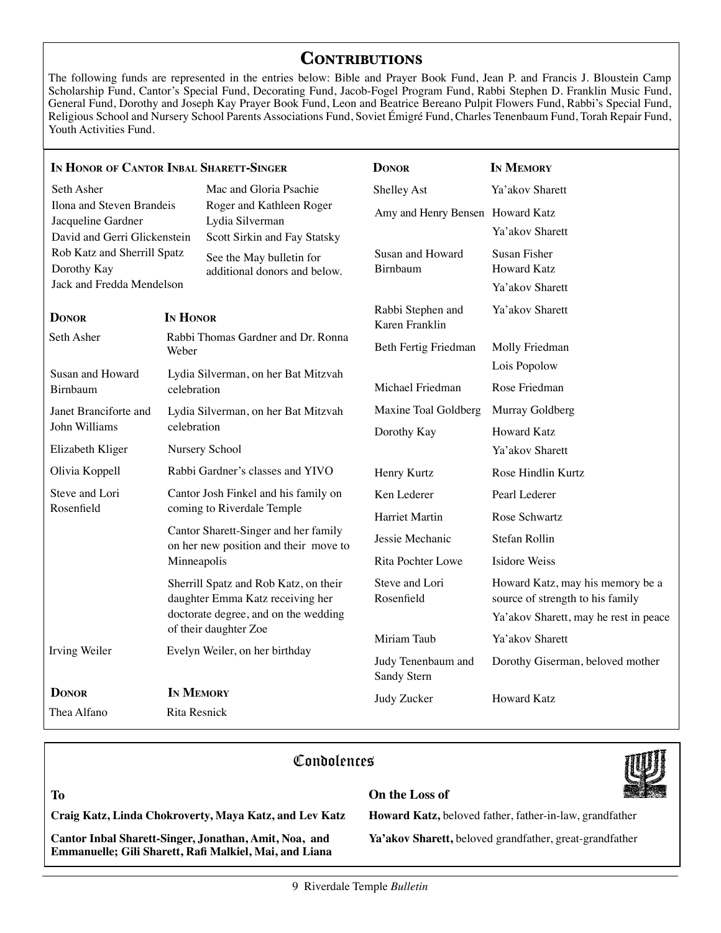#### **Contributions**

The following funds are represented in the entries below: Bible and Prayer Book Fund, Jean P. and Francis J. Bloustein Camp Scholarship Fund, Cantor's Special Fund, Decorating Fund, Jacob-Fogel Program Fund, Rabbi Stephen D. Franklin Music Fund, General Fund, Dorothy and Joseph Kay Prayer Book Fund, Leon and Beatrice Bereano Pulpit Flowers Fund, Rabbi's Special Fund, Religious School and Nursery School Parents Associations Fund, Soviet Émigré Fund, Charles Tenenbaum Fund, Torah Repair Fund, Youth Activities Fund.

| IN HONOR OF CANTOR INBAL SHARETT-SINGER                                                                                                                    |                                                                                                                                                                    |                                                          | <b>DONOR</b>                        | IN MEMORY                                                            |  |  |  |
|------------------------------------------------------------------------------------------------------------------------------------------------------------|--------------------------------------------------------------------------------------------------------------------------------------------------------------------|----------------------------------------------------------|-------------------------------------|----------------------------------------------------------------------|--|--|--|
| Seth Asher                                                                                                                                                 |                                                                                                                                                                    | Mac and Gloria Psachie                                   | Shelley Ast                         | Ya'akov Sharett                                                      |  |  |  |
| Ilona and Steven Brandeis<br>Jacqueline Gardner<br>David and Gerri Glickenstein<br>Rob Katz and Sherrill Spatz<br>Dorothy Kay<br>Jack and Fredda Mendelson |                                                                                                                                                                    | Roger and Kathleen Roger                                 | Amy and Henry Bensen Howard Katz    |                                                                      |  |  |  |
|                                                                                                                                                            |                                                                                                                                                                    | Lydia Silverman<br>Scott Sirkin and Fay Statsky          |                                     | Ya'akov Sharett                                                      |  |  |  |
|                                                                                                                                                            |                                                                                                                                                                    | See the May bulletin for<br>additional donors and below. | Susan and Howard<br>Birnbaum        | Susan Fisher<br><b>Howard Katz</b><br>Ya'akov Sharett                |  |  |  |
|                                                                                                                                                            |                                                                                                                                                                    |                                                          |                                     |                                                                      |  |  |  |
| <b>DONOR</b><br>IN HONOR                                                                                                                                   |                                                                                                                                                                    |                                                          | Rabbi Stephen and<br>Karen Franklin | Ya'akov Sharett                                                      |  |  |  |
| Seth Asher                                                                                                                                                 | Rabbi Thomas Gardner and Dr. Ronna<br>Weber                                                                                                                        |                                                          | Beth Fertig Friedman                | Molly Friedman                                                       |  |  |  |
| Susan and Howard                                                                                                                                           |                                                                                                                                                                    | Lydia Silverman, on her Bat Mitzvah                      |                                     | Lois Popolow                                                         |  |  |  |
| celebration<br>Birnbaum                                                                                                                                    |                                                                                                                                                                    |                                                          | Michael Friedman                    | Rose Friedman                                                        |  |  |  |
| Janet Branciforte and                                                                                                                                      |                                                                                                                                                                    | Lydia Silverman, on her Bat Mitzvah                      | Maxine Toal Goldberg                | Murray Goldberg                                                      |  |  |  |
| John Williams                                                                                                                                              | celebration                                                                                                                                                        |                                                          | Dorothy Kay                         | <b>Howard Katz</b>                                                   |  |  |  |
| Elizabeth Kliger                                                                                                                                           |                                                                                                                                                                    | Nursery School                                           |                                     | Ya'akov Sharett                                                      |  |  |  |
| Olivia Koppell                                                                                                                                             | Rabbi Gardner's classes and YIVO                                                                                                                                   |                                                          | Henry Kurtz                         | Rose Hindlin Kurtz                                                   |  |  |  |
| Steve and Lori                                                                                                                                             | Cantor Josh Finkel and his family on<br>coming to Riverdale Temple<br>Cantor Sharett-Singer and her family<br>on her new position and their move to<br>Minneapolis |                                                          | Ken Lederer                         | Pearl Lederer                                                        |  |  |  |
| Rosenfield                                                                                                                                                 |                                                                                                                                                                    |                                                          | Harriet Martin                      | Rose Schwartz                                                        |  |  |  |
|                                                                                                                                                            |                                                                                                                                                                    |                                                          | Jessie Mechanic                     | Stefan Rollin                                                        |  |  |  |
|                                                                                                                                                            |                                                                                                                                                                    |                                                          | Rita Pochter Lowe                   | Isidore Weiss                                                        |  |  |  |
|                                                                                                                                                            | Sherrill Spatz and Rob Katz, on their<br>daughter Emma Katz receiving her<br>doctorate degree, and on the wedding<br>of their daughter Zoe                         |                                                          | Steve and Lori<br>Rosenfield        | Howard Katz, may his memory be a<br>source of strength to his family |  |  |  |
|                                                                                                                                                            |                                                                                                                                                                    |                                                          |                                     | Ya'akov Sharett, may he rest in peace                                |  |  |  |
|                                                                                                                                                            |                                                                                                                                                                    |                                                          | Miriam Taub                         | Ya'akov Sharett                                                      |  |  |  |
| Irving Weiler                                                                                                                                              |                                                                                                                                                                    | Evelyn Weiler, on her birthday                           | Judy Tenenbaum and<br>Sandy Stern   | Dorothy Giserman, beloved mother                                     |  |  |  |
| <b>IN MEMORY</b><br><b>DONOR</b><br>Thea Alfano<br><b>Rita Resnick</b>                                                                                     |                                                                                                                                                                    |                                                          | Judy Zucker                         | <b>Howard Katz</b>                                                   |  |  |  |
|                                                                                                                                                            |                                                                                                                                                                    |                                                          |                                     |                                                                      |  |  |  |

#### Condolences



**Craig Katz, Linda Chokroverty, Maya Katz, and Lev Katz**

**Cantor Inbal Sharett-Singer, Jonathan, Amit, Noa, and Emmanuelle; Gili Sharett, Rafi Malkiel, Mai, and Liana**

#### **To On the Loss of**

**Howard Katz,** beloved father, father-in-law, grandfather

**Ya'akov Sharett,** beloved grandfather, great-grandfather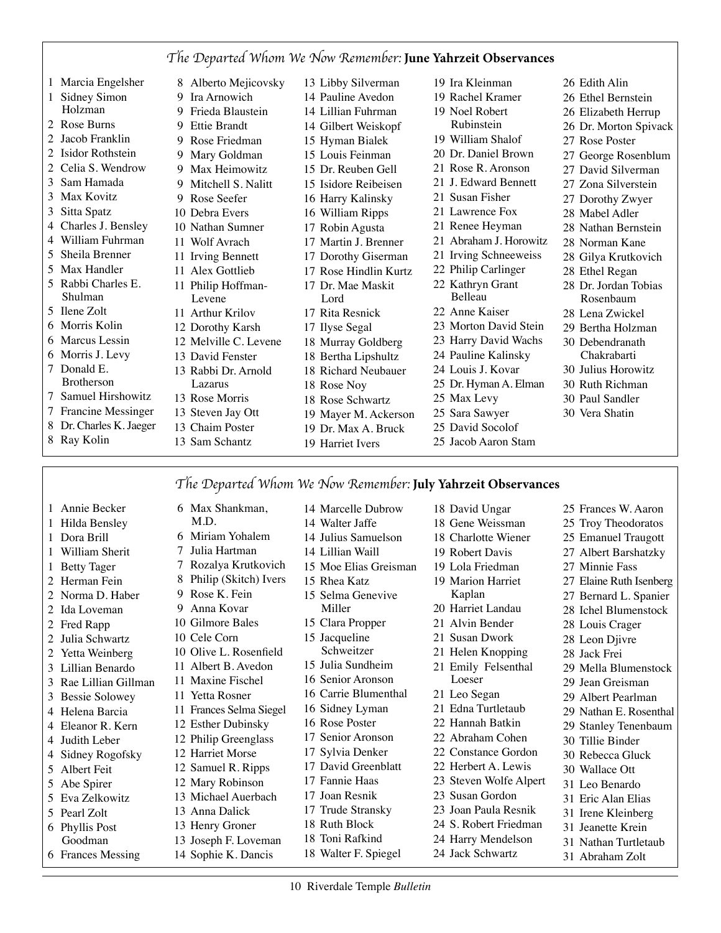# *The Departed Whom We Now Remember:* **June Yahrzeit Observances**

| 1 Marcia Engelsher      |   | 8 Alberto Mejicovsky  | 13 Libby Silverman    | 19 Ira Kleinman        | 26 Edith Alin         |
|-------------------------|---|-----------------------|-----------------------|------------------------|-----------------------|
| Sidney Simon            | 9 | Ira Arnowich          | 14 Pauline Avedon     | 19 Rachel Kramer       | 26 Ethel Bernstein    |
| Holzman                 |   | 9 Frieda Blaustein    | 14 Lillian Fuhrman    | 19 Noel Robert         | 26 Elizabeth Herrup   |
| 2 Rose Burns            | 9 | Ettie Brandt          | 14 Gilbert Weiskopf   | Rubinstein             | 26 Dr. Morton Spivack |
| 2 Jacob Franklin        |   | 9 Rose Friedman       | 15 Hyman Bialek       | 19 William Shalof      | 27 Rose Poster        |
| 2 Isidor Rothstein      |   | 9 Mary Goldman        | 15 Louis Feinman      | 20 Dr. Daniel Brown    | 27 George Rosenblum   |
| 2 Celia S. Wendrow      |   | 9 Max Heimowitz       | 15 Dr. Reuben Gell    | 21 Rose R. Aronson     | 27 David Silverman    |
| 3 Sam Hamada            |   | 9 Mitchell S. Nalitt  | 15 Isidore Reibeisen  | 21 J. Edward Bennett   | 27 Zona Silverstein   |
| 3 Max Kovitz            |   | 9 Rose Seefer         | 16 Harry Kalinsky     | 21 Susan Fisher        | 27 Dorothy Zwyer      |
| 3 Sitta Spatz           |   | 10 Debra Evers        | 16 William Ripps      | 21 Lawrence Fox        | 28 Mabel Adler        |
| 4 Charles J. Bensley    |   | 10 Nathan Sumner      | 17 Robin Agusta       | 21 Renee Heyman        | 28 Nathan Bernstein   |
| 4 William Fuhrman       |   | 11 Wolf Avrach        | 17 Martin J. Brenner  | 21 Abraham J. Horowitz | 28 Norman Kane        |
| 5 Sheila Brenner        |   | 11 Irving Bennett     | 17 Dorothy Giserman   | 21 Irving Schneeweiss  | 28 Gilya Krutkovich   |
| 5 Max Handler           |   | 11 Alex Gottlieb      | 17 Rose Hindlin Kurtz | 22 Philip Carlinger    | 28 Ethel Regan        |
| 5 Rabbi Charles E.      |   | 11 Philip Hoffman-    | 17 Dr. Mae Maskit     | 22 Kathryn Grant       | 28 Dr. Jordan Tobias  |
| <b>Shulman</b>          |   | Levene                | Lord                  | Belleau                | Rosenbaum             |
| 5 Ilene Zolt            |   | 11 Arthur Krilov      | 17 Rita Resnick       | 22 Anne Kaiser         | 28 Lena Zwickel       |
| 6 Morris Kolin          |   | 12 Dorothy Karsh      | 17 Ilyse Segal        | 23 Morton David Stein  | 29 Bertha Holzman     |
| 6 Marcus Lessin         |   | 12 Melville C. Levene | 18 Murray Goldberg    | 23 Harry David Wachs   | 30 Debendranath       |
| 6 Morris J. Levy        |   | 13 David Fenster      | 18 Bertha Lipshultz   | 24 Pauline Kalinsky    | Chakrabarti           |
| 7 Donald E.             |   | 13 Rabbi Dr. Arnold   | 18 Richard Neubauer   | 24 Louis J. Kovar      | 30 Julius Horowitz    |
| <b>Brotherson</b>       |   | Lazarus               | 18 Rose Noy           | 25 Dr. Hyman A. Elman  | 30 Ruth Richman       |
| 7 Samuel Hirshowitz     |   | 13 Rose Morris        | 18 Rose Schwartz      | 25 Max Levy            | 30 Paul Sandler       |
| 7 Francine Messinger    |   | 13 Steven Jay Ott     | 19 Mayer M. Ackerson  | 25 Sara Sawyer         | 30 Vera Shatin        |
| 8 Dr. Charles K. Jaeger |   | 13 Chaim Poster       | 19 Dr. Max A. Bruck   | 25 David Socolof       |                       |
| 8 Ray Kolin             |   | 13 Sam Schantz        | 19 Harriet Ivers      | 25 Jacob Aaron Stam    |                       |

#### *The Departed Whom We Now Remember:* **July Yahrzeit Observances**

Marcelle Dubrow

 Annie Becker Hilda Bensley Dora Brill William Sherit Betty Tager Herman Fein Norma D. Haber Ida Loveman Fred Rapp Julia Schwartz Yetta Weinberg Lillian Benardo Rae Lillian Gillman Bessie Solowey Helena Barcia Eleanor R. Kern Judith Leber Sidney Rogofsky Albert Feit Abe Spirer Eva Zelkowitz Pearl Zolt Phyllis Post Goodman Frances Messing Max Shankman, M.D. Joseph F. Loveman Sophie K. Dancis

 Miriam Yohalem Julia Hartman Rozalya Krutkovich Philip (Skitch) Ivers Rose K. Fein Anna Kovar Gilmore Bales Cele Corn Olive L. Rosenfield Albert B. Avedon Maxine Fischel Yetta Rosner Frances Selma Siegel Esther Dubinsky Philip Greenglass Harriet Morse Samuel R. Ripps Mary Robinson Michael Auerbach Anna Dalick Henry Groner

- Walter Jaffe Julius Samuelson Lillian Waill Moe Elias Greisman Rhea Katz Selma Genevive Miller
- Clara Propper
- Jacqueline
- Schweitzer
- Julia Sundheim
- Senior Aronson
- Carrie Blumenthal
- Sidney Lyman
- Rose Poster
- Senior Aronson
- Sylvia Denker
- David Greenblatt
- Fannie Haas
- Joan Resnik
- Trude Stransky
- Ruth Block
- Toni Rafkind
- Walter F. Spiegel
- David Ungar
- Gene Weissman
- Charlotte Wiener
- Robert Davis
- Lola Friedman
- Marion Harriet
- Kaplan
- Harriet Landau
- Alvin Bender
- Susan Dwork
- Helen Knopping
- Emily Felsenthal Loeser
- Leo Segan
- Edna Turtletaub
- Hannah Batkin
- Abraham Cohen
- 
- Constance Gordon
- Herbert A. Lewis
- Steven Wolfe Alpert
- Susan Gordon
- Joan Paula Resnik S. Robert Friedman
- Harry Mendelson
	-
- Jack Schwartz

- Frances W. Aaron Troy Theodoratos
- Emanuel Traugott
- Albert Barshatzky
- Minnie Fass
- Elaine Ruth Isenberg
- Bernard L. Spanier
- Ichel Blumenstock
- Louis Crager
- Leon Djivre
- Jack Frei
- Mella Blumenstock
- Jean Greisman
- 
- Albert Pearlman
- Nathan E. Rosenthal
- Stanley Tenenbaum
- Tillie Binder
- Rebecca Gluck
- Wallace Ott
- Leo Benardo
- Eric Alan Elias
- Irene Kleinberg
- Jeanette Krein
- Nathan Turtletaub
- Abraham Zolt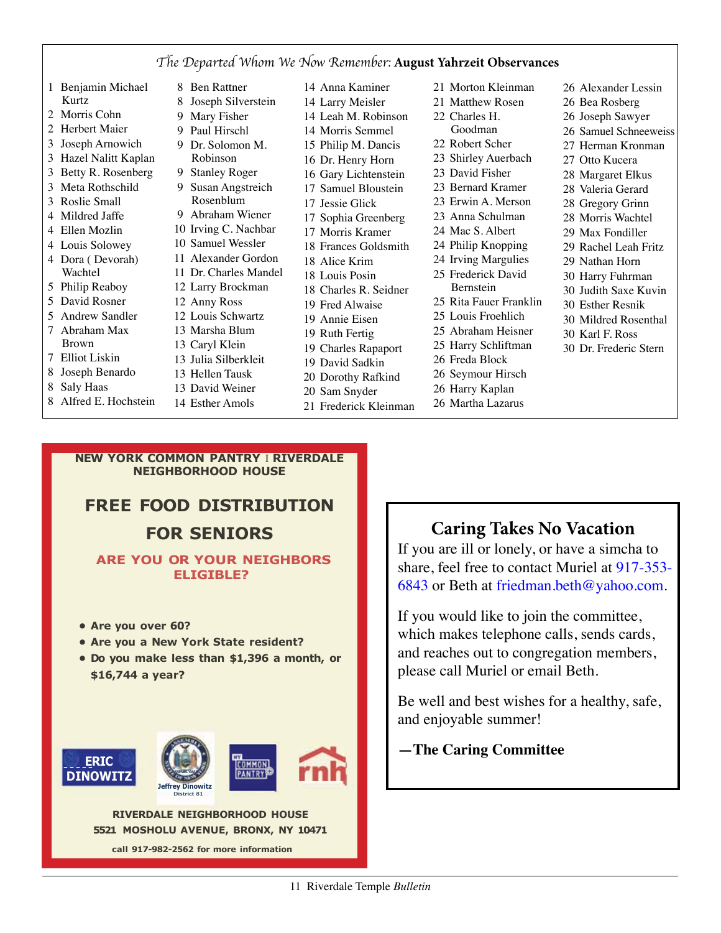#### *The Departed Whom We Now Remember:* **August Yahrzeit Observances**

- Benjamin Michael Kurtz
- Morris Cohn
- Herbert Maier
- Joseph Arnowich
- Hazel Nalitt Kaplan
- Betty R. Rosenberg
- Meta Rothschild
- Roslie Small
- Mildred Jaffe
- Ellen Mozlin
- Louis Solowey
- Dora ( Devorah) Wachtel
- Philip Reaboy
- David Rosner
- Andrew Sandler
- Abraham Max Brown
- Elliot Liskin
- Joseph Benardo
- Saly Haas
- Alfred E. Hochstein
- Ben Rattner Joseph Silverstein Mary Fisher Paul Hirschl Dr. Solomon M. Robinson Stanley Roger Susan Angstreich Rosenblum Abraham Wiener Irving C. Nachbar Samuel Wessler Alexander Gordon Dr. Charles Mandel Larry Brockman Anny Ross Louis Schwartz Marsha Blum Caryl Klein Julia Silberkleit Hellen Tausk David Weiner
- Anna Kaminer Larry Meisler Leah M. Robinson Morris Semmel Philip M. Dancis Dr. Henry Horn Gary Lichtenstein Samuel Bloustein Jessie Glick Sophia Greenberg Morris Kramer Frances Goldsmith Alice Krim Louis Posin Charles R. Seidner Fred Alwaise Annie Eisen Ruth Fertig Charles Rapaport David Sadkin Dorothy Rafkind Sam Snyder Frederick Kleinman
- Morton Kleinman Matthew Rosen Charles H. Goodman Robert Scher Shirley Auerbach David Fisher Bernard Kramer Erwin A. Merson Anna Schulman Mac S. Albert Philip Knopping Irving Margulies Frederick David Bernstein Rita Fauer Franklin Louis Froehlich
- Abraham Heisner
- Harry Schliftman
- Freda Block
- Seymour Hirsch
- Harry Kaplan
- Martha Lazarus
- Alexander Lessin
- Bea Rosberg
- Joseph Sawyer
- Samuel Schneeweiss
- Herman Kronman
- Otto Kucera
- Margaret Elkus
- Valeria Gerard
- 
- Gregory Grinn Morris Wachtel
- Max Fondiller
- Rachel Leah Fritz
- Nathan Horn
- 
- Harry Fuhrman Judith Saxe Kuvin
- 
- Esther Resnik
- Mildred Rosenthal
- Karl F. Ross
- Dr. Frederic Stern

#### **NEW YORK COMMON PANTRY** I **RIVERDALE NEIGHBORHOOD HOUSE**

Esther Amols

# **FREE FOOD DISTRIBUTION FOR SENIORS**

#### **ARE YOU OR YOUR NEIGHBORS ELIGIBLE?**

- **Are you over 60?**
- **Are you a New York State resident?**
- **• Do you make less than \$1,396 a month, or \$16,744 a year?**



**RIVERDALE NEIGHBORHOOD HOUSE 5521 MOSHOLU AVENUE, BRONX, NY 10471** 

**call 917-982-2562 for more information** 

# **Caring Takes No Vacation**

If you are ill or lonely, or have a simcha to share, feel free to contact Muriel at 917-353- 6843 or Beth at friedman.beth@yahoo.com.

If you would like to join the committee, which makes telephone calls, sends cards, and reaches out to congregation members, please call Muriel or email Beth.

Be well and best wishes for a healthy, safe, and enjoyable summer!

#### **—The Caring Committee**